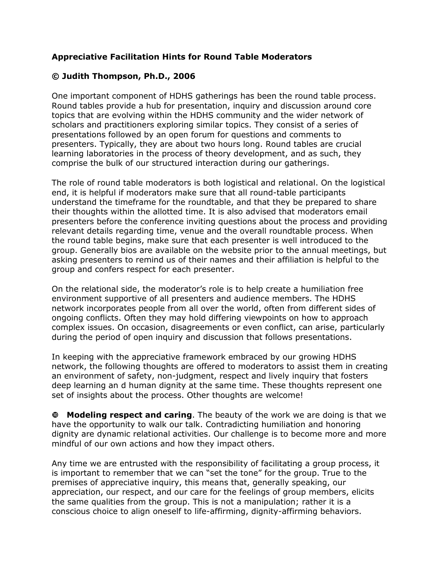## **Appreciative Facilitation Hints for Round Table Moderators**

## **© Judith Thompson, Ph.D., 2006**

One important component of HDHS gatherings has been the round table process. Round tables provide a hub for presentation, inquiry and discussion around core topics that are evolving within the HDHS community and the wider network of scholars and practitioners exploring similar topics. They consist of a series of presentations followed by an open forum for questions and comments to presenters. Typically, they are about two hours long. Round tables are crucial learning laboratories in the process of theory development, and as such, they comprise the bulk of our structured interaction during our gatherings.

The role of round table moderators is both logistical and relational. On the logistical end, it is helpful if moderators make sure that all round-table participants understand the timeframe for the roundtable, and that they be prepared to share their thoughts within the allotted time. It is also advised that moderators email presenters before the conference inviting questions about the process and providing relevant details regarding time, venue and the overall roundtable process. When the round table begins, make sure that each presenter is well introduced to the group. Generally bios are available on the website prior to the annual meetings, but asking presenters to remind us of their names and their affiliation is helpful to the group and confers respect for each presenter.

On the relational side, the moderator's role is to help create a humiliation free environment supportive of all presenters and audience members. The HDHS network incorporates people from all over the world, often from different sides of ongoing conflicts. Often they may hold differing viewpoints on how to approach complex issues. On occasion, disagreements or even conflict, can arise, particularly during the period of open inquiry and discussion that follows presentations.

In keeping with the appreciative framework embraced by our growing HDHS network, the following thoughts are offered to moderators to assist them in creating an environment of safety, non-judgment, respect and lively inquiry that fosters deep learning an d human dignity at the same time. These thoughts represent one set of insights about the process. Other thoughts are welcome!

**Modeling respect and caring**. The beauty of the work we are doing is that we have the opportunity to walk our talk. Contradicting humiliation and honoring dignity are dynamic relational activities. Our challenge is to become more and more mindful of our own actions and how they impact others.

Any time we are entrusted with the responsibility of facilitating a group process, it is important to remember that we can "set the tone" for the group. True to the premises of appreciative inquiry, this means that, generally speaking, our appreciation, our respect, and our care for the feelings of group members, elicits the same qualities from the group. This is not a manipulation; rather it is a conscious choice to align oneself to life-affirming, dignity-affirming behaviors.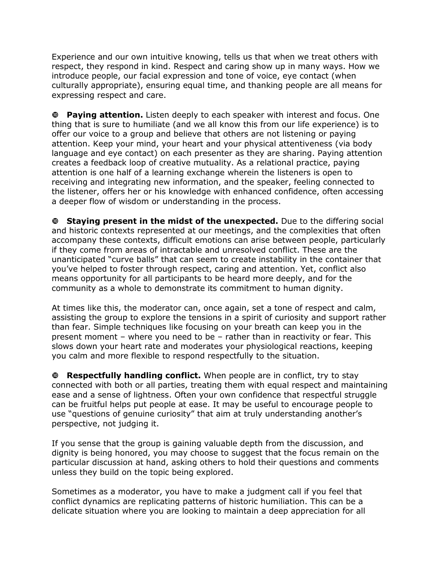Experience and our own intuitive knowing, tells us that when we treat others with respect, they respond in kind. Respect and caring show up in many ways. How we introduce people, our facial expression and tone of voice, eye contact (when culturally appropriate), ensuring equal time, and thanking people are all means for expressing respect and care.

**Paying attention.** Listen deeply to each speaker with interest and focus. One thing that is sure to humiliate (and we all know this from our life experience) is to offer our voice to a group and believe that others are not listening or paying attention. Keep your mind, your heart and your physical attentiveness (via body language and eye contact) on each presenter as they are sharing. Paying attention creates a feedback loop of creative mutuality. As a relational practice, paying attention is one half of a learning exchange wherein the listeners is open to receiving and integrating new information, and the speaker, feeling connected to the listener, offers her or his knowledge with enhanced confidence, often accessing a deeper flow of wisdom or understanding in the process.

**Staying present in the midst of the unexpected.** Due to the differing social and historic contexts represented at our meetings, and the complexities that often accompany these contexts, difficult emotions can arise between people, particularly if they come from areas of intractable and unresolved conflict. These are the unanticipated "curve balls" that can seem to create instability in the container that you've helped to foster through respect, caring and attention. Yet, conflict also means opportunity for all participants to be heard more deeply, and for the community as a whole to demonstrate its commitment to human dignity.

At times like this, the moderator can, once again, set a tone of respect and calm, assisting the group to explore the tensions in a spirit of curiosity and support rather than fear. Simple techniques like focusing on your breath can keep you in the present moment – where you need to be – rather than in reactivity or fear. This slows down your heart rate and moderates your physiological reactions, keeping you calm and more flexible to respond respectfully to the situation.

**Respectfully handling conflict.** When people are in conflict, try to stay connected with both or all parties, treating them with equal respect and maintaining ease and a sense of lightness. Often your own confidence that respectful struggle can be fruitful helps put people at ease. It may be useful to encourage people to use "questions of genuine curiosity" that aim at truly understanding another's perspective, not judging it.

If you sense that the group is gaining valuable depth from the discussion, and dignity is being honored, you may choose to suggest that the focus remain on the particular discussion at hand, asking others to hold their questions and comments unless they build on the topic being explored.

Sometimes as a moderator, you have to make a judgment call if you feel that conflict dynamics are replicating patterns of historic humiliation. This can be a delicate situation where you are looking to maintain a deep appreciation for all